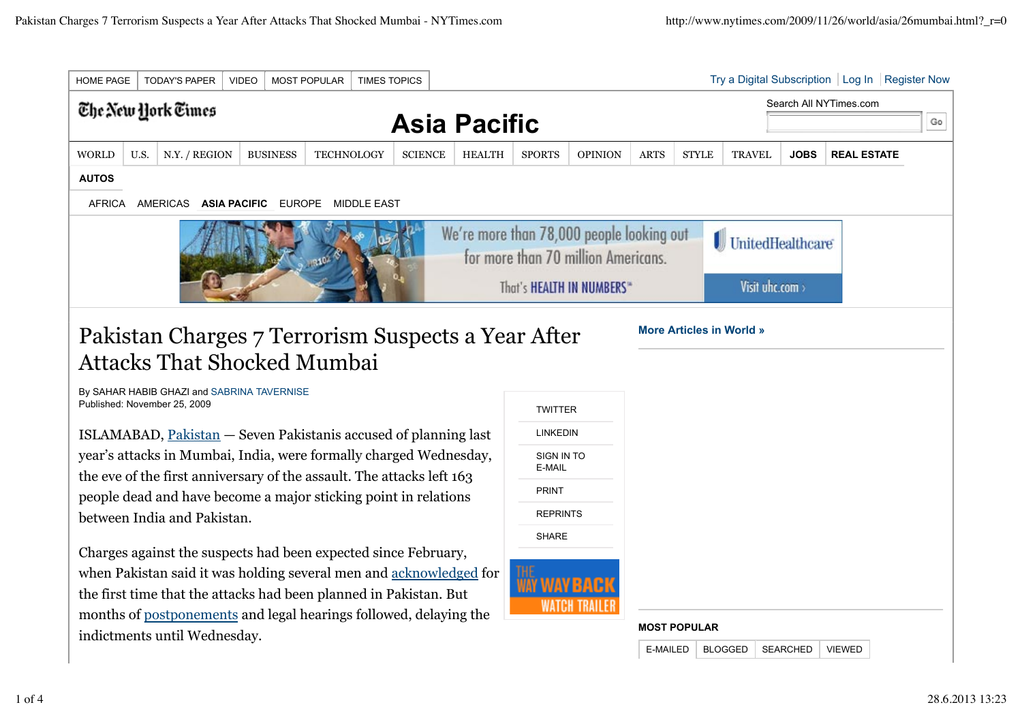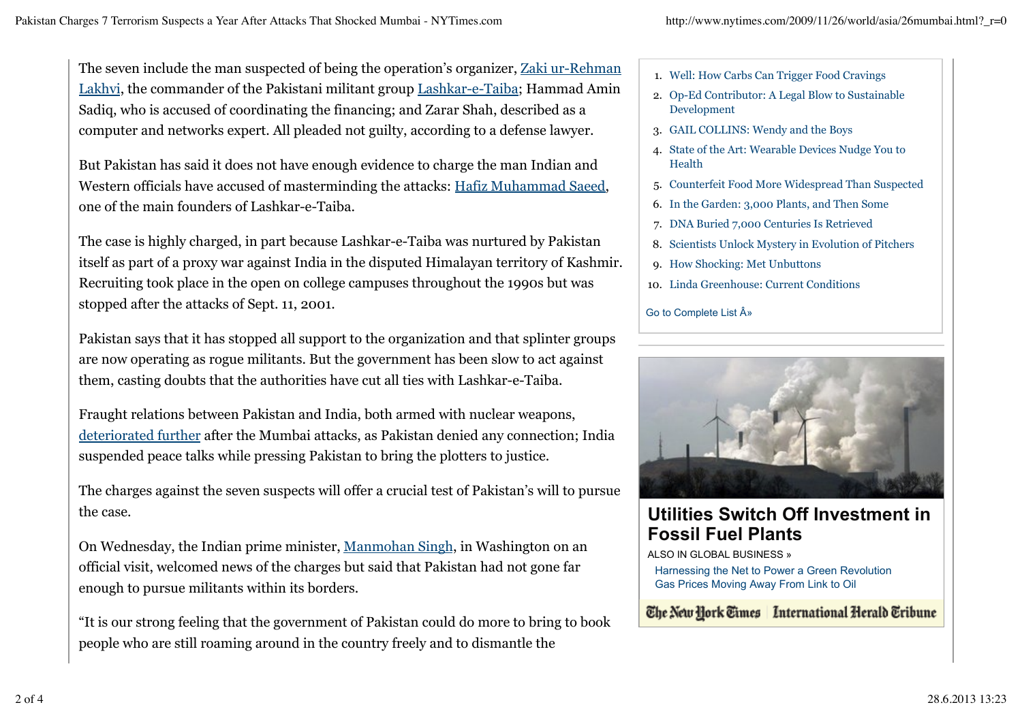The seven include the man suspected of being the operation's organizer, Zaki ur-Rehman Lakhvi, the commander of the Pakistani militant group Lashkar-e-Taiba; Hammad Amin Sadiq, who is accused of coordinating the financing; and Zarar Shah, described as a computer and networks expert. All pleaded not guilty, according to a defense lawyer.

But Pakistan has said it does not have enough evidence to charge the man Indian and Western officials have accused of masterminding the attacks: Hafiz Muhammad Saeed, one of the main founders of Lashkar-e-Taiba.

The case is highly charged, in part because Lashkar-e-Taiba was nurtured by Pakistan itself as part of a proxy war against India in the disputed Himalayan territory of Kashmir. Recruiting took place in the open on college campuses throughout the 1990s but was stopped after the attacks of Sept. 11, 2001.

Pakistan says that it has stopped all support to the organization and that splinter groups are now operating as rogue militants. But the government has been slow to act against them, casting doubts that the authorities have cut all ties with Lashkar-e-Taiba.

Fraught relations between Pakistan and India, both armed with nuclear weapons, deteriorated further after the Mumbai attacks, as Pakistan denied any connection; India suspended peace talks while pressing Pakistan to bring the plotters to justice.

The charges against the seven suspects will offer a crucial test of Pakistan's will to pursue the case.

On Wednesday, the Indian prime minister, Manmohan Singh, in Washington on an official visit, welcomed news of the charges but said that Pakistan had not gone far enough to pursue militants within its borders.

"It is our strong feeling that the government of Pakistan could do more to bring to book people who are still roaming around in the country freely and to dismantle the

- 1. Well: How Carbs Can Trigger Food Cravings
- Op-Ed Contributor: A Legal Blow to Sustainable 2. Development
- 3. GAIL COLLINS: Wendy and the Boys
- 4. State of the Art: Wearable Devices Nudge You to Health
- 5. Counterfeit Food More Widespread Than Suspected
- 6. In the Garden: 3,000 Plants, and Then Some
- 7. DNA Buried 7,000 Centuries Is Retrieved
- 8. Scientists Unlock Mystery in Evolution of Pitchers
- 9. How Shocking: Met Unbuttons
- 10. Linda Greenhouse: Current Conditions

## Go to Complete List  $\hat{A}$ »



## **Utilities Switch Off Investment in Fossil Fuel Plants**

ALSO IN GLOBAL BUSINESS »

Harnessing the Net to Power a Green Revolution Gas Prices Moving Away From Link to Oil

## The New York Times | International Herald Tribune